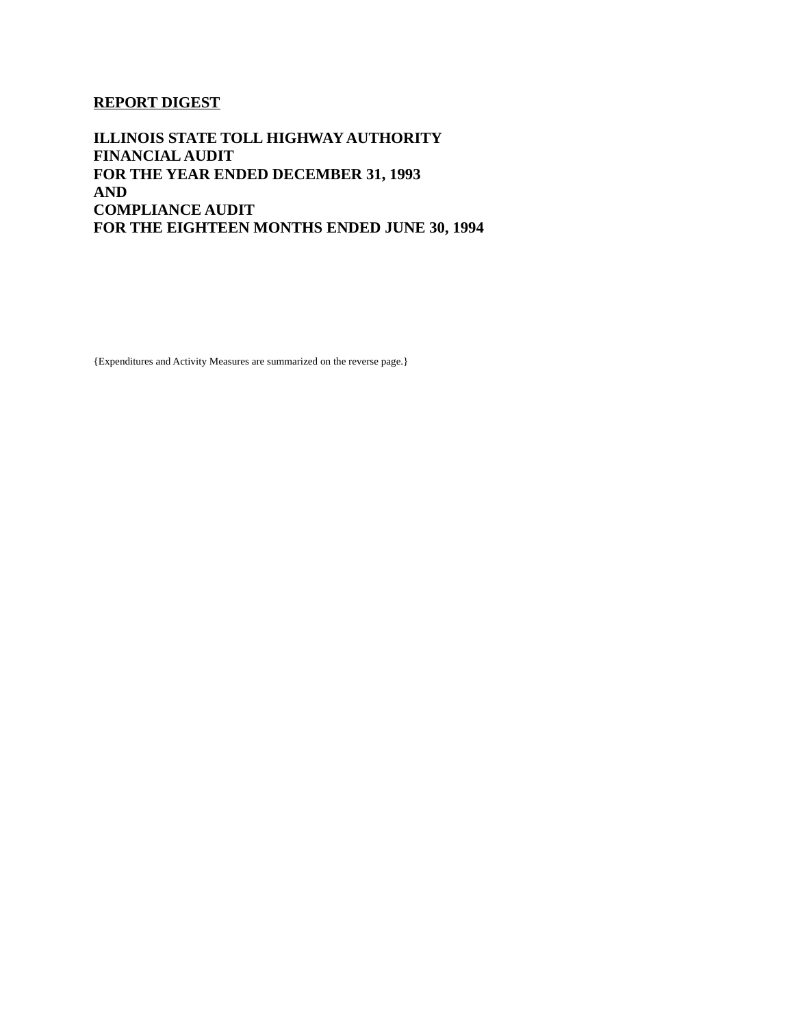### **REPORT DIGEST**

**ILLINOIS STATE TOLL HIGHWAY AUTHORITY FINANCIAL AUDIT FOR THE YEAR ENDED DECEMBER 31, 1993 AND COMPLIANCE AUDIT FOR THE EIGHTEEN MONTHS ENDED JUNE 30, 1994**

{Expenditures and Activity Measures are summarized on the reverse page.}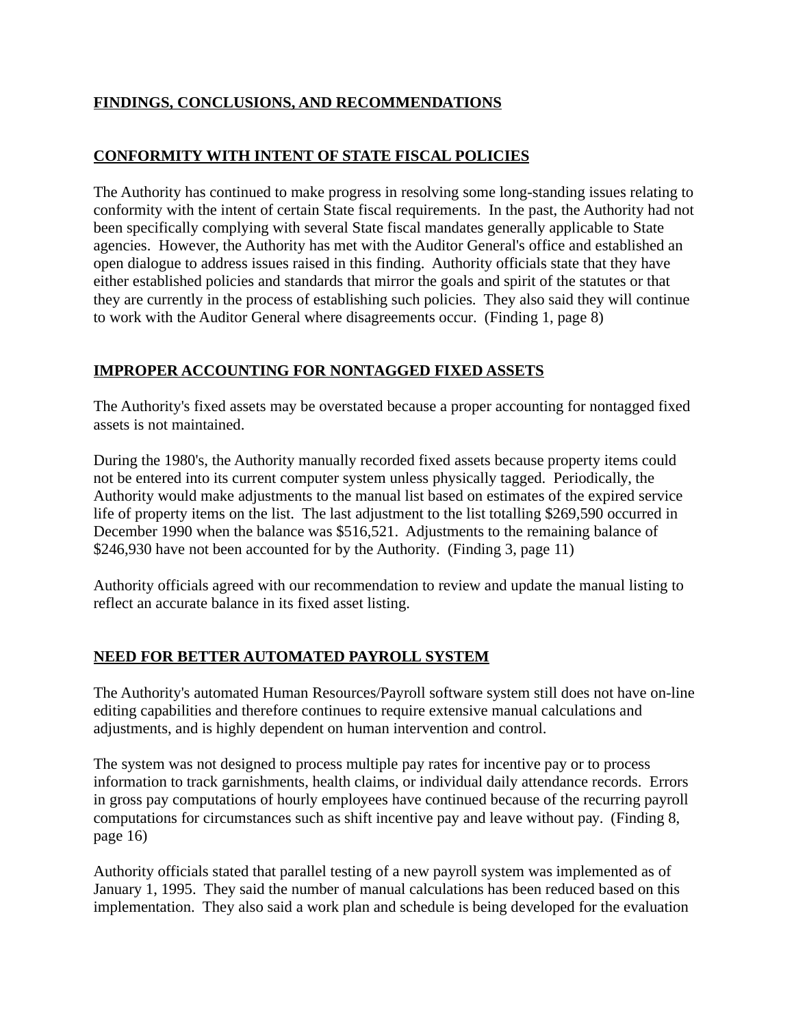# **FINDINGS, CONCLUSIONS, AND RECOMMENDATIONS**

### **CONFORMITY WITH INTENT OF STATE FISCAL POLICIES**

The Authority has continued to make progress in resolving some long-standing issues relating to conformity with the intent of certain State fiscal requirements. In the past, the Authority had not been specifically complying with several State fiscal mandates generally applicable to State agencies. However, the Authority has met with the Auditor General's office and established an open dialogue to address issues raised in this finding. Authority officials state that they have either established policies and standards that mirror the goals and spirit of the statutes or that they are currently in the process of establishing such policies. They also said they will continue to work with the Auditor General where disagreements occur. (Finding 1, page 8)

# **IMPROPER ACCOUNTING FOR NONTAGGED FIXED ASSETS**

The Authority's fixed assets may be overstated because a proper accounting for nontagged fixed assets is not maintained.

During the 1980's, the Authority manually recorded fixed assets because property items could not be entered into its current computer system unless physically tagged. Periodically, the Authority would make adjustments to the manual list based on estimates of the expired service life of property items on the list. The last adjustment to the list totalling \$269,590 occurred in December 1990 when the balance was \$516,521. Adjustments to the remaining balance of \$246,930 have not been accounted for by the Authority. (Finding 3, page 11)

Authority officials agreed with our recommendation to review and update the manual listing to reflect an accurate balance in its fixed asset listing.

# **NEED FOR BETTER AUTOMATED PAYROLL SYSTEM**

The Authority's automated Human Resources/Payroll software system still does not have on-line editing capabilities and therefore continues to require extensive manual calculations and adjustments, and is highly dependent on human intervention and control.

The system was not designed to process multiple pay rates for incentive pay or to process information to track garnishments, health claims, or individual daily attendance records. Errors in gross pay computations of hourly employees have continued because of the recurring payroll computations for circumstances such as shift incentive pay and leave without pay. (Finding 8, page 16)

Authority officials stated that parallel testing of a new payroll system was implemented as of January 1, 1995. They said the number of manual calculations has been reduced based on this implementation. They also said a work plan and schedule is being developed for the evaluation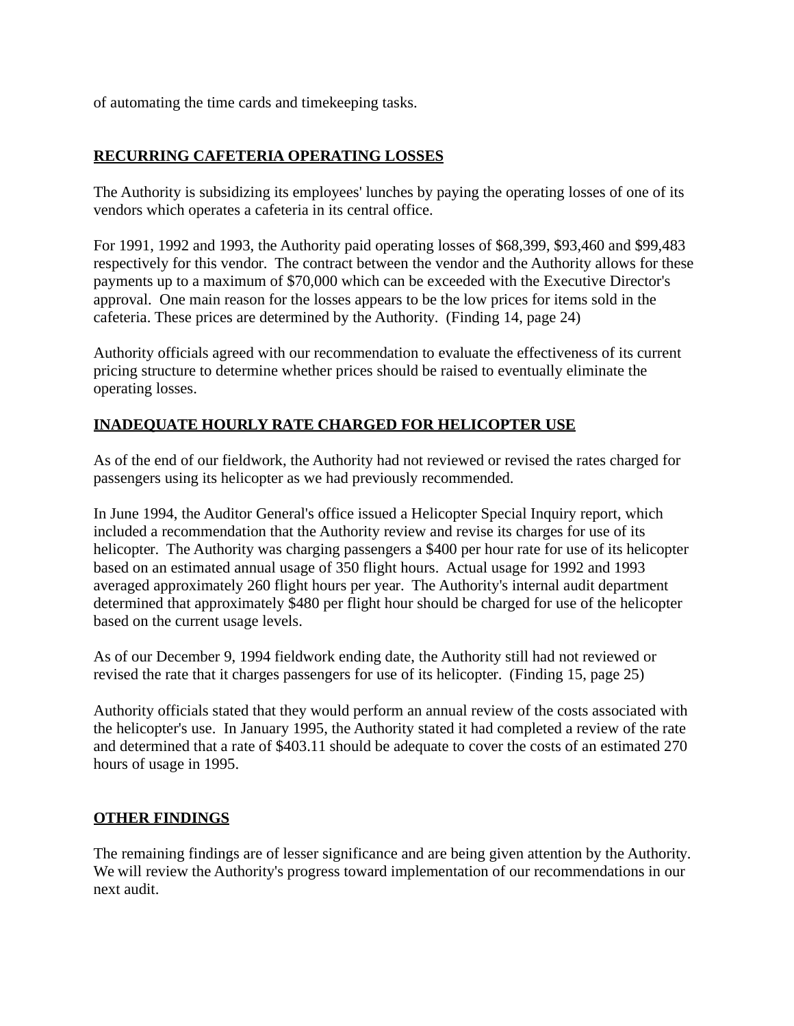of automating the time cards and timekeeping tasks.

# **RECURRING CAFETERIA OPERATING LOSSES**

The Authority is subsidizing its employees' lunches by paying the operating losses of one of its vendors which operates a cafeteria in its central office.

For 1991, 1992 and 1993, the Authority paid operating losses of \$68,399, \$93,460 and \$99,483 respectively for this vendor. The contract between the vendor and the Authority allows for these payments up to a maximum of \$70,000 which can be exceeded with the Executive Director's approval. One main reason for the losses appears to be the low prices for items sold in the cafeteria. These prices are determined by the Authority. (Finding 14, page 24)

Authority officials agreed with our recommendation to evaluate the effectiveness of its current pricing structure to determine whether prices should be raised to eventually eliminate the operating losses.

# **INADEQUATE HOURLY RATE CHARGED FOR HELICOPTER USE**

As of the end of our fieldwork, the Authority had not reviewed or revised the rates charged for passengers using its helicopter as we had previously recommended.

In June 1994, the Auditor General's office issued a Helicopter Special Inquiry report, which included a recommendation that the Authority review and revise its charges for use of its helicopter. The Authority was charging passengers a \$400 per hour rate for use of its helicopter based on an estimated annual usage of 350 flight hours. Actual usage for 1992 and 1993 averaged approximately 260 flight hours per year. The Authority's internal audit department determined that approximately \$480 per flight hour should be charged for use of the helicopter based on the current usage levels.

As of our December 9, 1994 fieldwork ending date, the Authority still had not reviewed or revised the rate that it charges passengers for use of its helicopter. (Finding 15, page 25)

Authority officials stated that they would perform an annual review of the costs associated with the helicopter's use. In January 1995, the Authority stated it had completed a review of the rate and determined that a rate of \$403.11 should be adequate to cover the costs of an estimated 270 hours of usage in 1995.

### **OTHER FINDINGS**

The remaining findings are of lesser significance and are being given attention by the Authority. We will review the Authority's progress toward implementation of our recommendations in our next audit.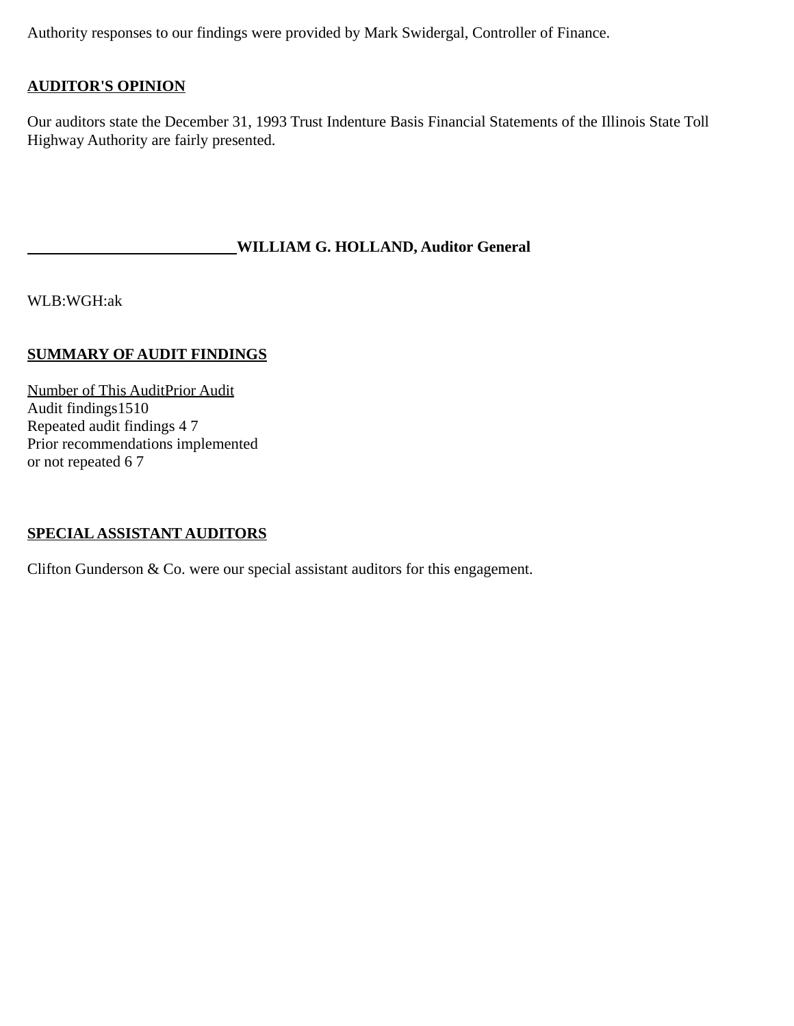Authority responses to our findings were provided by Mark Swidergal, Controller of Finance.

### **AUDITOR'S OPINION**

Our auditors state the December 31, 1993 Trust Indenture Basis Financial Statements of the Illinois State Toll Highway Authority are fairly presented.

#### **WILLIAM G. HOLLAND, Auditor General**

WLB:WGH:ak

#### **SUMMARY OF AUDIT FINDINGS**

Number of This AuditPrior Audit Audit findings1510 Repeated audit findings 4 7 Prior recommendations implemented or not repeated 6 7

#### **SPECIAL ASSISTANT AUDITORS**

Clifton Gunderson & Co. were our special assistant auditors for this engagement.